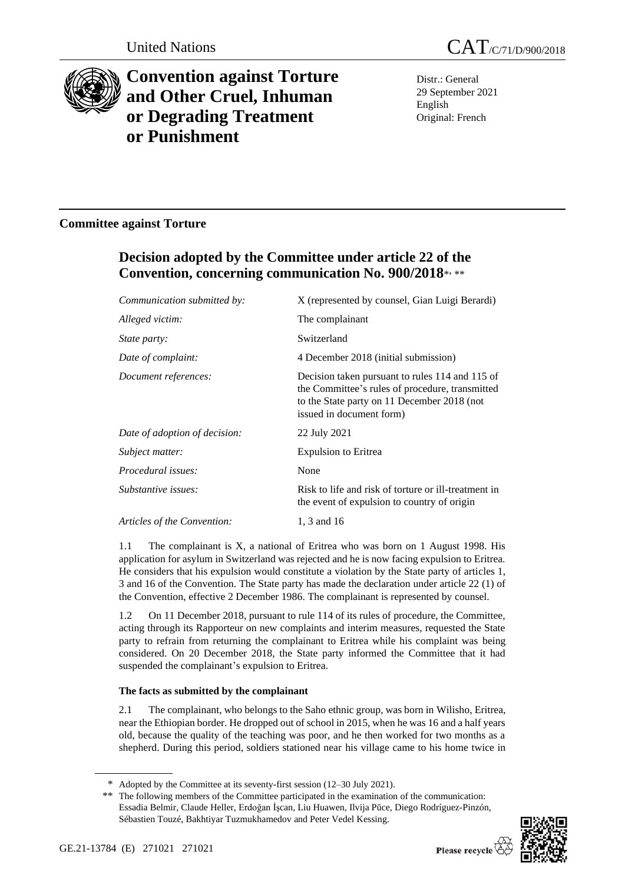

# **Convention against Torture and Other Cruel, Inhuman or Degrading Treatment or Punishment**

Distr.: General 29 September 2021 English Original: French

## **Committee against Torture**

# **Decision adopted by the Committee under article 22 of the Convention, concerning communication No. 900/2018**\* , \*\*

| Communication submitted by:   | X (represented by counsel, Gian Luigi Berardi)                                                                                                                                |
|-------------------------------|-------------------------------------------------------------------------------------------------------------------------------------------------------------------------------|
| Alleged victim:               | The complainant                                                                                                                                                               |
| <i>State party:</i>           | Switzerland                                                                                                                                                                   |
| Date of complaint:            | 4 December 2018 (initial submission)                                                                                                                                          |
| Document references:          | Decision taken pursuant to rules 114 and 115 of<br>the Committee's rules of procedure, transmitted<br>to the State party on 11 December 2018 (not<br>issued in document form) |
| Date of adoption of decision: | 22 July 2021                                                                                                                                                                  |
| Subject matter:               | <b>Expulsion to Eritrea</b>                                                                                                                                                   |
| Procedural issues:            | None                                                                                                                                                                          |
| Substantive issues:           | Risk to life and risk of torture or ill-treatment in<br>the event of expulsion to country of origin                                                                           |
| Articles of the Convention:   | 1, 3 and 16                                                                                                                                                                   |
|                               |                                                                                                                                                                               |

1.1 The complainant is X, a national of Eritrea who was born on 1 August 1998. His application for asylum in Switzerland was rejected and he is now facing expulsion to Eritrea. He considers that his expulsion would constitute a violation by the State party of articles 1, 3 and 16 of the Convention. The State party has made the declaration under article 22 (1) of the Convention, effective 2 December 1986. The complainant is represented by counsel.

1.2 On 11 December 2018, pursuant to rule 114 of its rules of procedure, the Committee, acting through its Rapporteur on new complaints and interim measures, requested the State party to refrain from returning the complainant to Eritrea while his complaint was being considered. On 20 December 2018, the State party informed the Committee that it had suspended the complainant's expulsion to Eritrea.

### **The facts as submitted by the complainant**

2.1 The complainant, who belongs to the Saho ethnic group, was born in Wilisho, Eritrea, near the Ethiopian border. He dropped out of school in 2015, when he was 16 and a half years old, because the quality of the teaching was poor, and he then worked for two months as a shepherd. During this period, soldiers stationed near his village came to his home twice in

<sup>\*\*</sup> The following members of the Committee participated in the examination of the communication: Essadia Belmir, Claude Heller, Erdoğan İşcan, Liu Huawen, Ilvija Pūce, Diego Rodríguez-Pinzón, Sébastien Touzé, Bakhtiyar Tuzmukhamedov and Peter Vedel Kessing.



<sup>\*</sup> Adopted by the Committee at its seventy-first session (12–30 July 2021).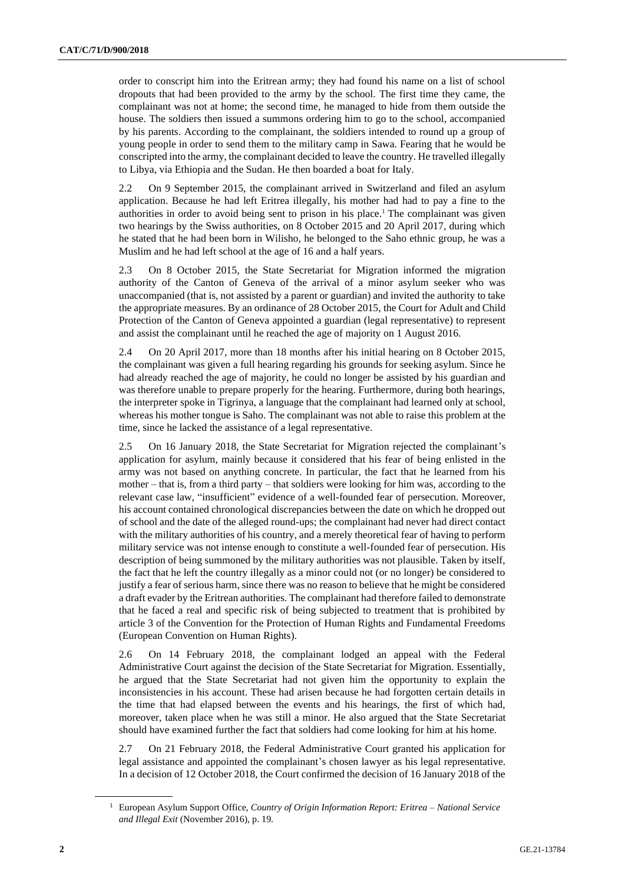order to conscript him into the Eritrean army; they had found his name on a list of school dropouts that had been provided to the army by the school. The first time they came, the complainant was not at home; the second time, he managed to hide from them outside the house. The soldiers then issued a summons ordering him to go to the school, accompanied by his parents. According to the complainant, the soldiers intended to round up a group of young people in order to send them to the military camp in Sawa. Fearing that he would be conscripted into the army, the complainant decided to leave the country. He travelled illegally to Libya, via Ethiopia and the Sudan. He then boarded a boat for Italy.

2.2 On 9 September 2015, the complainant arrived in Switzerland and filed an asylum application. Because he had left Eritrea illegally, his mother had had to pay a fine to the authorities in order to avoid being sent to prison in his place. <sup>1</sup> The complainant was given two hearings by the Swiss authorities, on 8 October 2015 and 20 April 2017, during which he stated that he had been born in Wilisho, he belonged to the Saho ethnic group, he was a Muslim and he had left school at the age of 16 and a half years.

2.3 On 8 October 2015, the State Secretariat for Migration informed the migration authority of the Canton of Geneva of the arrival of a minor asylum seeker who was unaccompanied (that is, not assisted by a parent or guardian) and invited the authority to take the appropriate measures. By an ordinance of 28 October 2015, the Court for Adult and Child Protection of the Canton of Geneva appointed a guardian (legal representative) to represent and assist the complainant until he reached the age of majority on 1 August 2016.

2.4 On 20 April 2017, more than 18 months after his initial hearing on 8 October 2015, the complainant was given a full hearing regarding his grounds for seeking asylum. Since he had already reached the age of majority, he could no longer be assisted by his guardian and was therefore unable to prepare properly for the hearing. Furthermore, during both hearings, the interpreter spoke in Tigrinya, a language that the complainant had learned only at school, whereas his mother tongue is Saho. The complainant was not able to raise this problem at the time, since he lacked the assistance of a legal representative.

2.5 On 16 January 2018, the State Secretariat for Migration rejected the complainant's application for asylum, mainly because it considered that his fear of being enlisted in the army was not based on anything concrete. In particular, the fact that he learned from his mother – that is, from a third party – that soldiers were looking for him was, according to the relevant case law, "insufficient" evidence of a well-founded fear of persecution. Moreover, his account contained chronological discrepancies between the date on which he dropped out of school and the date of the alleged round-ups; the complainant had never had direct contact with the military authorities of his country, and a merely theoretical fear of having to perform military service was not intense enough to constitute a well-founded fear of persecution. His description of being summoned by the military authorities was not plausible. Taken by itself, the fact that he left the country illegally as a minor could not (or no longer) be considered to justify a fear of serious harm, since there was no reason to believe that he might be considered a draft evader by the Eritrean authorities. The complainant had therefore failed to demonstrate that he faced a real and specific risk of being subjected to treatment that is prohibited by article 3 of the Convention for the Protection of Human Rights and Fundamental Freedoms (European Convention on Human Rights).

2.6 On 14 February 2018, the complainant lodged an appeal with the Federal Administrative Court against the decision of the State Secretariat for Migration. Essentially, he argued that the State Secretariat had not given him the opportunity to explain the inconsistencies in his account. These had arisen because he had forgotten certain details in the time that had elapsed between the events and his hearings, the first of which had, moreover, taken place when he was still a minor. He also argued that the State Secretariat should have examined further the fact that soldiers had come looking for him at his home.

2.7 On 21 February 2018, the Federal Administrative Court granted his application for legal assistance and appointed the complainant's chosen lawyer as his legal representative. In a decision of 12 October 2018, the Court confirmed the decision of 16 January 2018 of the

<sup>1</sup> European Asylum Support Office, *Country of Origin Information Report: Eritrea – National Service and Illegal Exit* (November 2016), p. 19.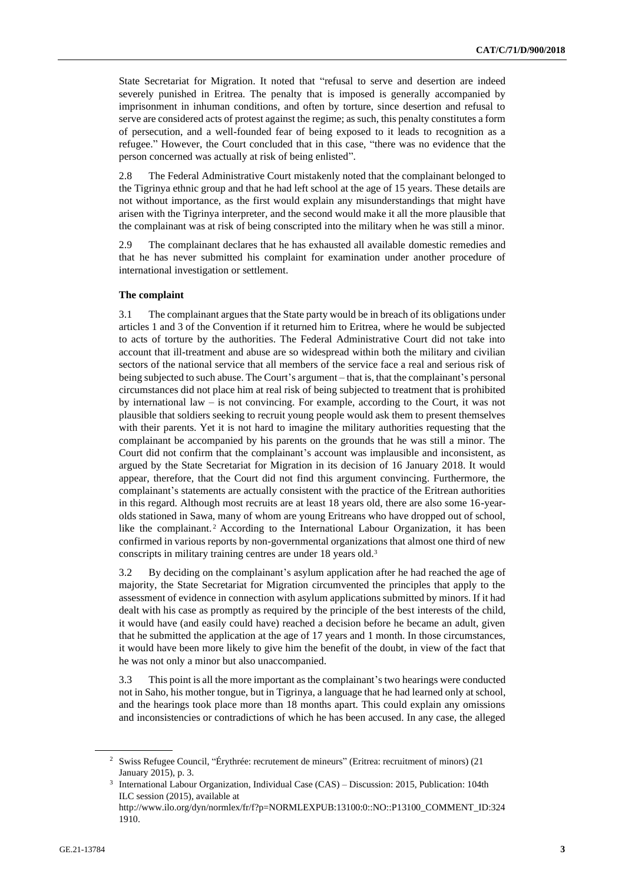State Secretariat for Migration. It noted that "refusal to serve and desertion are indeed severely punished in Eritrea. The penalty that is imposed is generally accompanied by imprisonment in inhuman conditions, and often by torture, since desertion and refusal to serve are considered acts of protest against the regime; as such, this penalty constitutes a form of persecution, and a well-founded fear of being exposed to it leads to recognition as a refugee." However, the Court concluded that in this case, "there was no evidence that the person concerned was actually at risk of being enlisted".

2.8 The Federal Administrative Court mistakenly noted that the complainant belonged to the Tigrinya ethnic group and that he had left school at the age of 15 years. These details are not without importance, as the first would explain any misunderstandings that might have arisen with the Tigrinya interpreter, and the second would make it all the more plausible that the complainant was at risk of being conscripted into the military when he was still a minor.

2.9 The complainant declares that he has exhausted all available domestic remedies and that he has never submitted his complaint for examination under another procedure of international investigation or settlement.

#### **The complaint**

3.1 The complainant argues that the State party would be in breach of its obligations under articles 1 and 3 of the Convention if it returned him to Eritrea, where he would be subjected to acts of torture by the authorities. The Federal Administrative Court did not take into account that ill-treatment and abuse are so widespread within both the military and civilian sectors of the national service that all members of the service face a real and serious risk of being subjected to such abuse. The Court's argument – that is, that the complainant's personal circumstances did not place him at real risk of being subjected to treatment that is prohibited by international law – is not convincing. For example, according to the Court, it was not plausible that soldiers seeking to recruit young people would ask them to present themselves with their parents. Yet it is not hard to imagine the military authorities requesting that the complainant be accompanied by his parents on the grounds that he was still a minor. The Court did not confirm that the complainant's account was implausible and inconsistent, as argued by the State Secretariat for Migration in its decision of 16 January 2018. It would appear, therefore, that the Court did not find this argument convincing. Furthermore, the complainant's statements are actually consistent with the practice of the Eritrean authorities in this regard. Although most recruits are at least 18 years old, there are also some 16-yearolds stationed in Sawa, many of whom are young Eritreans who have dropped out of school, like the complainant.<sup>2</sup> According to the International Labour Organization, it has been confirmed in various reports by non-governmental organizations that almost one third of new conscripts in military training centres are under 18 years old.<sup>3</sup>

3.2 By deciding on the complainant's asylum application after he had reached the age of majority, the State Secretariat for Migration circumvented the principles that apply to the assessment of evidence in connection with asylum applications submitted by minors. If it had dealt with his case as promptly as required by the principle of the best interests of the child, it would have (and easily could have) reached a decision before he became an adult, given that he submitted the application at the age of 17 years and 1 month. In those circumstances, it would have been more likely to give him the benefit of the doubt, in view of the fact that he was not only a minor but also unaccompanied.

3.3 This point is all the more important as the complainant's two hearings were conducted not in Saho, his mother tongue, but in Tigrinya, a language that he had learned only at school, and the hearings took place more than 18 months apart. This could explain any omissions and inconsistencies or contradictions of which he has been accused. In any case, the alleged

<sup>2</sup> Swiss Refugee Council, "Érythrée: recrutement de mineurs" (Eritrea: recruitment of minors) (21 January 2015), p. 3.

<sup>3</sup> International Labour Organization, Individual Case (CAS) – Discussion: 2015, Publication: 104th ILC session (2015), available at

http://www.ilo.org/dyn/normlex/fr/f?p=NORMLEXPUB:13100:0::NO::P13100\_COMMENT\_ID:324 1910.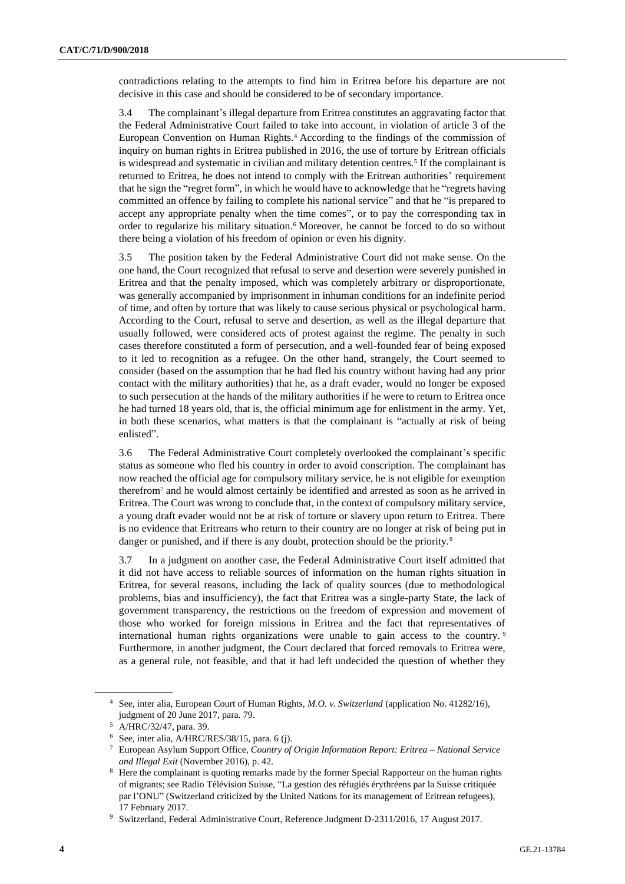contradictions relating to the attempts to find him in Eritrea before his departure are not decisive in this case and should be considered to be of secondary importance.

3.4 The complainant's illegal departure from Eritrea constitutes an aggravating factor that the Federal Administrative Court failed to take into account, in violation of article 3 of the European Convention on Human Rights.<sup>4</sup> According to the findings of the commission of inquiry on human rights in Eritrea published in 2016, the use of torture by Eritrean officials is widespread and systematic in civilian and military detention centres.<sup>5</sup> If the complainant is returned to Eritrea, he does not intend to comply with the Eritrean authorities' requirement that he sign the "regret form", in which he would have to acknowledge that he "regrets having committed an offence by failing to complete his national service" and that he "is prepared to accept any appropriate penalty when the time comes", or to pay the corresponding tax in order to regularize his military situation.<sup>6</sup> Moreover, he cannot be forced to do so without there being a violation of his freedom of opinion or even his dignity.

3.5 The position taken by the Federal Administrative Court did not make sense. On the one hand, the Court recognized that refusal to serve and desertion were severely punished in Eritrea and that the penalty imposed, which was completely arbitrary or disproportionate, was generally accompanied by imprisonment in inhuman conditions for an indefinite period of time, and often by torture that was likely to cause serious physical or psychological harm. According to the Court, refusal to serve and desertion, as well as the illegal departure that usually followed, were considered acts of protest against the regime. The penalty in such cases therefore constituted a form of persecution, and a well-founded fear of being exposed to it led to recognition as a refugee. On the other hand, strangely, the Court seemed to consider (based on the assumption that he had fled his country without having had any prior contact with the military authorities) that he, as a draft evader, would no longer be exposed to such persecution at the hands of the military authorities if he were to return to Eritrea once he had turned 18 years old, that is, the official minimum age for enlistment in the army. Yet, in both these scenarios, what matters is that the complainant is "actually at risk of being enlisted".

3.6 The Federal Administrative Court completely overlooked the complainant's specific status as someone who fled his country in order to avoid conscription. The complainant has now reached the official age for compulsory military service, he is not eligible for exemption therefrom<sup>7</sup> and he would almost certainly be identified and arrested as soon as he arrived in Eritrea. The Court was wrong to conclude that, in the context of compulsory military service, a young draft evader would not be at risk of torture or slavery upon return to Eritrea. There is no evidence that Eritreans who return to their country are no longer at risk of being put in danger or punished, and if there is any doubt, protection should be the priority.<sup>8</sup>

3.7 In a judgment on another case, the Federal Administrative Court itself admitted that it did not have access to reliable sources of information on the human rights situation in Eritrea, for several reasons, including the lack of quality sources (due to methodological problems, bias and insufficiency), the fact that Eritrea was a single-party State, the lack of government transparency, the restrictions on the freedom of expression and movement of those who worked for foreign missions in Eritrea and the fact that representatives of international human rights organizations were unable to gain access to the country. <sup>9</sup> Furthermore, in another judgment, the Court declared that forced removals to Eritrea were, as a general rule, not feasible, and that it had left undecided the question of whether they

<sup>4</sup> See, inter alia, European Court of Human Rights, *M.O. v. Switzerland* (application No. 41282/16), judgment of 20 June 2017, para. 79.

<sup>5</sup> A/HRC/32/47, para. 39.

 $6$  See, inter alia, A/HRC/RES/38/15, para. 6 (j).

<sup>7</sup> European Asylum Support Office, *Country of Origin Information Report: Eritrea – National Service and Illegal Exit* (November 2016), p. 42.

<sup>&</sup>lt;sup>8</sup> Here the complainant is quoting remarks made by the former Special Rapporteur on the human rights of migrants; see Radio Télévision Suisse, "La gestion des réfugiés érythréens par la Suisse critiquée par l'ONU" (Switzerland criticized by the United Nations for its management of Eritrean refugees), 17 February 2017.

<sup>9</sup> Switzerland, Federal Administrative Court, Reference Judgment D-2311/2016, 17 August 2017.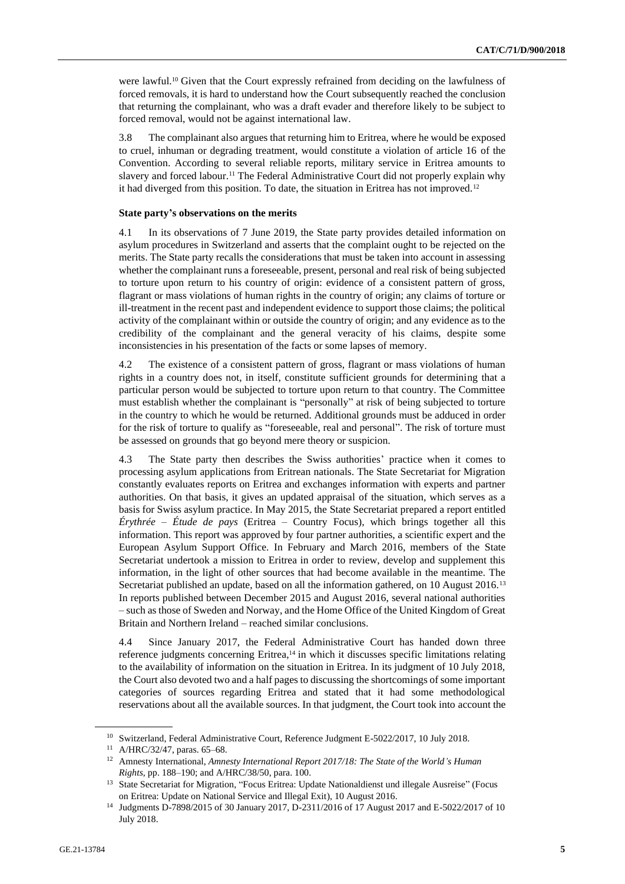were lawful.<sup>10</sup> Given that the Court expressly refrained from deciding on the lawfulness of forced removals, it is hard to understand how the Court subsequently reached the conclusion that returning the complainant, who was a draft evader and therefore likely to be subject to forced removal, would not be against international law.

3.8 The complainant also argues that returning him to Eritrea, where he would be exposed to cruel, inhuman or degrading treatment, would constitute a violation of article 16 of the Convention. According to several reliable reports, military service in Eritrea amounts to slavery and forced labour.<sup>11</sup> The Federal Administrative Court did not properly explain why it had diverged from this position. To date, the situation in Eritrea has not improved.<sup>12</sup>

#### **State party's observations on the merits**

4.1 In its observations of 7 June 2019, the State party provides detailed information on asylum procedures in Switzerland and asserts that the complaint ought to be rejected on the merits. The State party recalls the considerations that must be taken into account in assessing whether the complainant runs a foreseeable, present, personal and real risk of being subjected to torture upon return to his country of origin: evidence of a consistent pattern of gross, flagrant or mass violations of human rights in the country of origin; any claims of torture or ill-treatment in the recent past and independent evidence to support those claims; the political activity of the complainant within or outside the country of origin; and any evidence as to the credibility of the complainant and the general veracity of his claims, despite some inconsistencies in his presentation of the facts or some lapses of memory.

4.2 The existence of a consistent pattern of gross, flagrant or mass violations of human rights in a country does not, in itself, constitute sufficient grounds for determining that a particular person would be subjected to torture upon return to that country. The Committee must establish whether the complainant is "personally" at risk of being subjected to torture in the country to which he would be returned. Additional grounds must be adduced in order for the risk of torture to qualify as "foreseeable, real and personal". The risk of torture must be assessed on grounds that go beyond mere theory or suspicion.

4.3 The State party then describes the Swiss authorities' practice when it comes to processing asylum applications from Eritrean nationals. The State Secretariat for Migration constantly evaluates reports on Eritrea and exchanges information with experts and partner authorities. On that basis, it gives an updated appraisal of the situation, which serves as a basis for Swiss asylum practice. In May 2015, the State Secretariat prepared a report entitled *Érythrée – Étude de pays* (Eritrea – Country Focus), which brings together all this information. This report was approved by four partner authorities, a scientific expert and the European Asylum Support Office. In February and March 2016, members of the State Secretariat undertook a mission to Eritrea in order to review, develop and supplement this information, in the light of other sources that had become available in the meantime. The Secretariat published an update, based on all the information gathered, on 10 August 2016.<sup>13</sup> In reports published between December 2015 and August 2016, several national authorities – such as those of Sweden and Norway, and the Home Office of the United Kingdom of Great Britain and Northern Ireland – reached similar conclusions.

4.4 Since January 2017, the Federal Administrative Court has handed down three reference judgments concerning Eritrea, <sup>14</sup> in which it discusses specific limitations relating to the availability of information on the situation in Eritrea. In its judgment of 10 July 2018, the Court also devoted two and a half pages to discussing the shortcomings of some important categories of sources regarding Eritrea and stated that it had some methodological reservations about all the available sources. In that judgment, the Court took into account the

<sup>&</sup>lt;sup>10</sup> Switzerland, Federal Administrative Court, Reference Judgment E-5022/2017, 10 July 2018.

<sup>11</sup> A/HRC/32/47, paras. 65–68.

<sup>12</sup> Amnesty International, *Amnesty International Report 2017/18: The State of the World's Human Rights*, pp. 188–190; and A/HRC/38/50, para. 100.

<sup>&</sup>lt;sup>13</sup> State Secretariat for Migration, "Focus Eritrea: Update Nationaldienst und illegale Ausreise" (Focus on Eritrea: Update on National Service and Illegal Exit), 10 August 2016.

<sup>14</sup> Judgments D-7898/2015 of 30 January 2017, D-2311/2016 of 17 August 2017 and E-5022/2017 of 10 July 2018.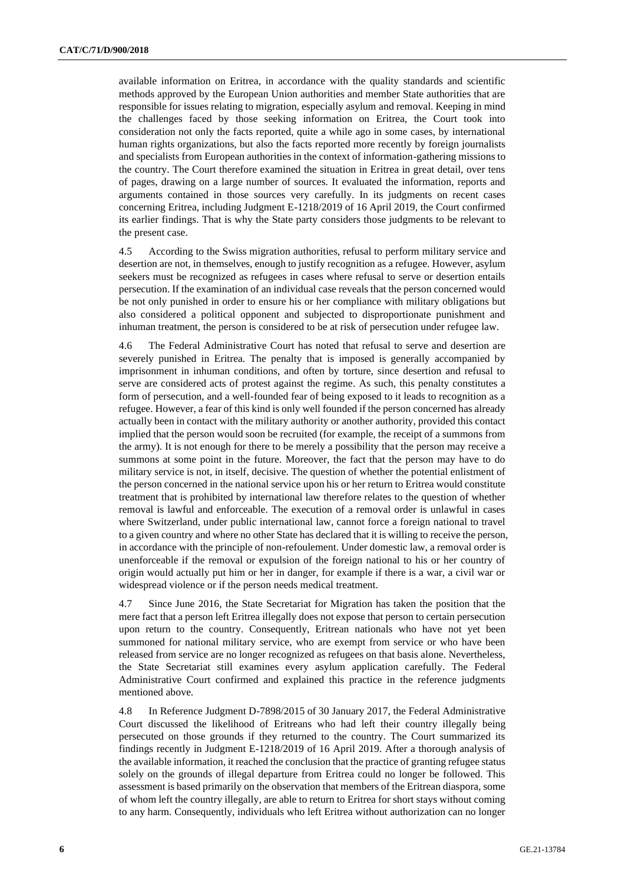available information on Eritrea, in accordance with the quality standards and scientific methods approved by the European Union authorities and member State authorities that are responsible for issues relating to migration, especially asylum and removal. Keeping in mind the challenges faced by those seeking information on Eritrea, the Court took into consideration not only the facts reported, quite a while ago in some cases, by international human rights organizations, but also the facts reported more recently by foreign journalists and specialists from European authorities in the context of information-gathering missions to the country. The Court therefore examined the situation in Eritrea in great detail, over tens of pages, drawing on a large number of sources. It evaluated the information, reports and arguments contained in those sources very carefully. In its judgments on recent cases concerning Eritrea, including Judgment E-1218/2019 of 16 April 2019, the Court confirmed its earlier findings. That is why the State party considers those judgments to be relevant to the present case.

4.5 According to the Swiss migration authorities, refusal to perform military service and desertion are not, in themselves, enough to justify recognition as a refugee. However, asylum seekers must be recognized as refugees in cases where refusal to serve or desertion entails persecution. If the examination of an individual case reveals that the person concerned would be not only punished in order to ensure his or her compliance with military obligations but also considered a political opponent and subjected to disproportionate punishment and inhuman treatment, the person is considered to be at risk of persecution under refugee law.

4.6 The Federal Administrative Court has noted that refusal to serve and desertion are severely punished in Eritrea. The penalty that is imposed is generally accompanied by imprisonment in inhuman conditions, and often by torture, since desertion and refusal to serve are considered acts of protest against the regime. As such, this penalty constitutes a form of persecution, and a well-founded fear of being exposed to it leads to recognition as a refugee. However, a fear of this kind is only well founded if the person concerned has already actually been in contact with the military authority or another authority, provided this contact implied that the person would soon be recruited (for example, the receipt of a summons from the army). It is not enough for there to be merely a possibility that the person may receive a summons at some point in the future. Moreover, the fact that the person may have to do military service is not, in itself, decisive. The question of whether the potential enlistment of the person concerned in the national service upon his or her return to Eritrea would constitute treatment that is prohibited by international law therefore relates to the question of whether removal is lawful and enforceable. The execution of a removal order is unlawful in cases where Switzerland, under public international law, cannot force a foreign national to travel to a given country and where no other State has declared that it is willing to receive the person, in accordance with the principle of non-refoulement. Under domestic law, a removal order is unenforceable if the removal or expulsion of the foreign national to his or her country of origin would actually put him or her in danger, for example if there is a war, a civil war or widespread violence or if the person needs medical treatment.

4.7 Since June 2016, the State Secretariat for Migration has taken the position that the mere fact that a person left Eritrea illegally does not expose that person to certain persecution upon return to the country. Consequently, Eritrean nationals who have not yet been summoned for national military service, who are exempt from service or who have been released from service are no longer recognized as refugees on that basis alone. Nevertheless, the State Secretariat still examines every asylum application carefully. The Federal Administrative Court confirmed and explained this practice in the reference judgments mentioned above.

4.8 In Reference Judgment D-7898/2015 of 30 January 2017, the Federal Administrative Court discussed the likelihood of Eritreans who had left their country illegally being persecuted on those grounds if they returned to the country. The Court summarized its findings recently in Judgment E-1218/2019 of 16 April 2019. After a thorough analysis of the available information, it reached the conclusion that the practice of granting refugee status solely on the grounds of illegal departure from Eritrea could no longer be followed. This assessment is based primarily on the observation that members of the Eritrean diaspora, some of whom left the country illegally, are able to return to Eritrea for short stays without coming to any harm. Consequently, individuals who left Eritrea without authorization can no longer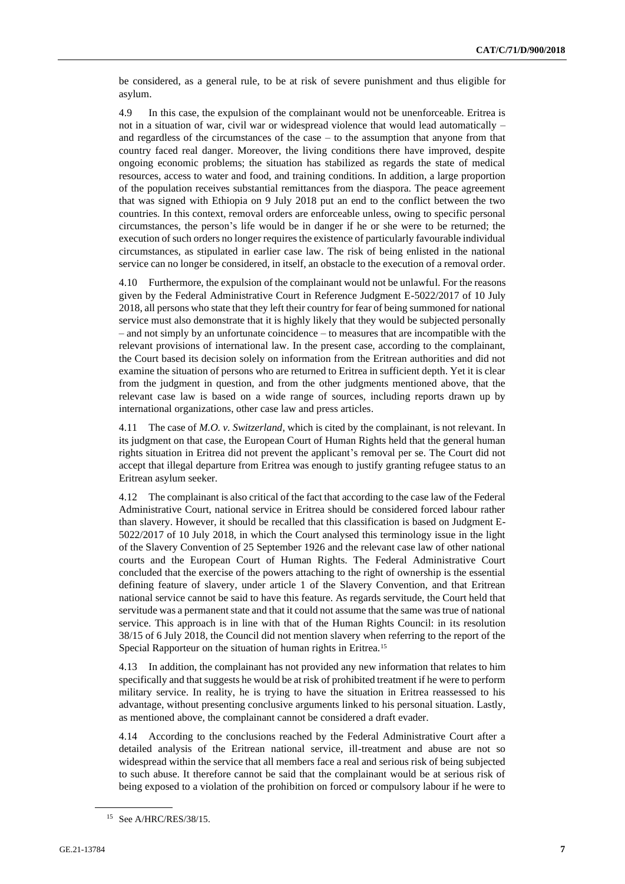be considered, as a general rule, to be at risk of severe punishment and thus eligible for asylum.

4.9 In this case, the expulsion of the complainant would not be unenforceable. Eritrea is not in a situation of war, civil war or widespread violence that would lead automatically – and regardless of the circumstances of the case – to the assumption that anyone from that country faced real danger. Moreover, the living conditions there have improved, despite ongoing economic problems; the situation has stabilized as regards the state of medical resources, access to water and food, and training conditions. In addition, a large proportion of the population receives substantial remittances from the diaspora. The peace agreement that was signed with Ethiopia on 9 July 2018 put an end to the conflict between the two countries. In this context, removal orders are enforceable unless, owing to specific personal circumstances, the person's life would be in danger if he or she were to be returned; the execution of such orders no longer requires the existence of particularly favourable individual circumstances, as stipulated in earlier case law. The risk of being enlisted in the national service can no longer be considered, in itself, an obstacle to the execution of a removal order.

4.10 Furthermore, the expulsion of the complainant would not be unlawful. For the reasons given by the Federal Administrative Court in Reference Judgment E-5022/2017 of 10 July 2018, all persons who state that they left their country for fear of being summoned for national service must also demonstrate that it is highly likely that they would be subjected personally – and not simply by an unfortunate coincidence – to measures that are incompatible with the relevant provisions of international law. In the present case, according to the complainant, the Court based its decision solely on information from the Eritrean authorities and did not examine the situation of persons who are returned to Eritrea in sufficient depth. Yet it is clear from the judgment in question, and from the other judgments mentioned above, that the relevant case law is based on a wide range of sources, including reports drawn up by international organizations, other case law and press articles.

4.11 The case of *M.O. v. Switzerland*, which is cited by the complainant, is not relevant. In its judgment on that case, the European Court of Human Rights held that the general human rights situation in Eritrea did not prevent the applicant's removal per se. The Court did not accept that illegal departure from Eritrea was enough to justify granting refugee status to an Eritrean asylum seeker.

4.12 The complainant is also critical of the fact that according to the case law of the Federal Administrative Court, national service in Eritrea should be considered forced labour rather than slavery. However, it should be recalled that this classification is based on Judgment E-5022/2017 of 10 July 2018, in which the Court analysed this terminology issue in the light of the Slavery Convention of 25 September 1926 and the relevant case law of other national courts and the European Court of Human Rights. The Federal Administrative Court concluded that the exercise of the powers attaching to the right of ownership is the essential defining feature of slavery, under article 1 of the Slavery Convention, and that Eritrean national service cannot be said to have this feature. As regards servitude, the Court held that servitude was a permanent state and that it could not assume that the same was true of national service. This approach is in line with that of the Human Rights Council: in its resolution 38/15 of 6 July 2018, the Council did not mention slavery when referring to the report of the Special Rapporteur on the situation of human rights in Eritrea.<sup>15</sup>

4.13 In addition, the complainant has not provided any new information that relates to him specifically and that suggests he would be at risk of prohibited treatment if he were to perform military service. In reality, he is trying to have the situation in Eritrea reassessed to his advantage, without presenting conclusive arguments linked to his personal situation. Lastly, as mentioned above, the complainant cannot be considered a draft evader.

4.14 According to the conclusions reached by the Federal Administrative Court after a detailed analysis of the Eritrean national service, ill-treatment and abuse are not so widespread within the service that all members face a real and serious risk of being subjected to such abuse. It therefore cannot be said that the complainant would be at serious risk of being exposed to a violation of the prohibition on forced or compulsory labour if he were to

<sup>15</sup> See A/HRC/RES/38/15.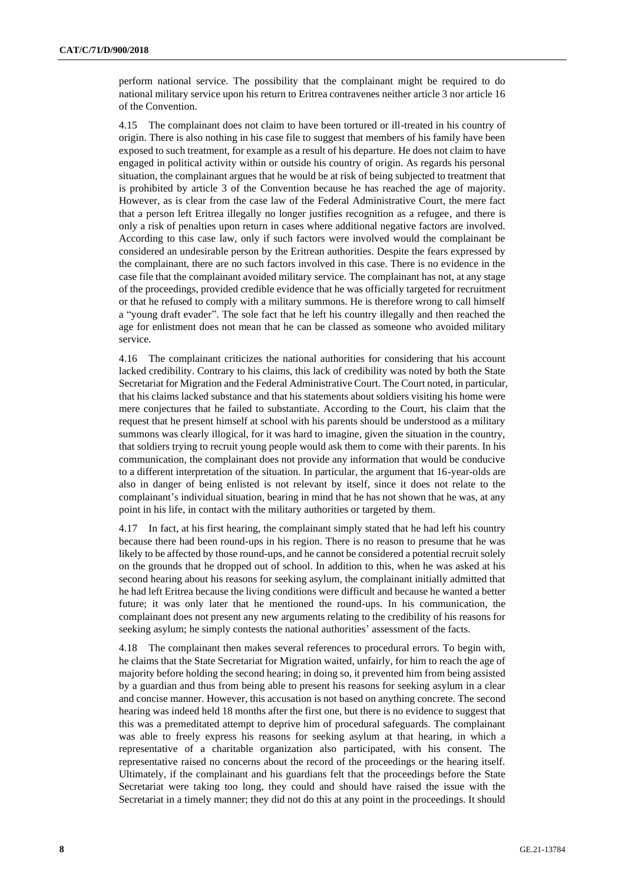perform national service. The possibility that the complainant might be required to do national military service upon his return to Eritrea contravenes neither article 3 nor article 16 of the Convention.

4.15 The complainant does not claim to have been tortured or ill-treated in his country of origin. There is also nothing in his case file to suggest that members of his family have been exposed to such treatment, for example as a result of his departure. He does not claim to have engaged in political activity within or outside his country of origin. As regards his personal situation, the complainant argues that he would be at risk of being subjected to treatment that is prohibited by article 3 of the Convention because he has reached the age of majority. However, as is clear from the case law of the Federal Administrative Court, the mere fact that a person left Eritrea illegally no longer justifies recognition as a refugee, and there is only a risk of penalties upon return in cases where additional negative factors are involved. According to this case law, only if such factors were involved would the complainant be considered an undesirable person by the Eritrean authorities. Despite the fears expressed by the complainant, there are no such factors involved in this case. There is no evidence in the case file that the complainant avoided military service. The complainant has not, at any stage of the proceedings, provided credible evidence that he was officially targeted for recruitment or that he refused to comply with a military summons. He is therefore wrong to call himself a "young draft evader". The sole fact that he left his country illegally and then reached the age for enlistment does not mean that he can be classed as someone who avoided military service.

4.16 The complainant criticizes the national authorities for considering that his account lacked credibility. Contrary to his claims, this lack of credibility was noted by both the State Secretariat for Migration and the Federal Administrative Court. The Court noted, in particular, that his claims lacked substance and that his statements about soldiers visiting his home were mere conjectures that he failed to substantiate. According to the Court, his claim that the request that he present himself at school with his parents should be understood as a military summons was clearly illogical, for it was hard to imagine, given the situation in the country, that soldiers trying to recruit young people would ask them to come with their parents. In his communication, the complainant does not provide any information that would be conducive to a different interpretation of the situation. In particular, the argument that 16-year-olds are also in danger of being enlisted is not relevant by itself, since it does not relate to the complainant's individual situation, bearing in mind that he has not shown that he was, at any point in his life, in contact with the military authorities or targeted by them.

4.17 In fact, at his first hearing, the complainant simply stated that he had left his country because there had been round-ups in his region. There is no reason to presume that he was likely to be affected by those round-ups, and he cannot be considered a potential recruit solely on the grounds that he dropped out of school. In addition to this, when he was asked at his second hearing about his reasons for seeking asylum, the complainant initially admitted that he had left Eritrea because the living conditions were difficult and because he wanted a better future; it was only later that he mentioned the round-ups. In his communication, the complainant does not present any new arguments relating to the credibility of his reasons for seeking asylum; he simply contests the national authorities' assessment of the facts.

4.18 The complainant then makes several references to procedural errors. To begin with, he claims that the State Secretariat for Migration waited, unfairly, for him to reach the age of majority before holding the second hearing; in doing so, it prevented him from being assisted by a guardian and thus from being able to present his reasons for seeking asylum in a clear and concise manner. However, this accusation is not based on anything concrete. The second hearing was indeed held 18 months after the first one, but there is no evidence to suggest that this was a premeditated attempt to deprive him of procedural safeguards. The complainant was able to freely express his reasons for seeking asylum at that hearing, in which a representative of a charitable organization also participated, with his consent. The representative raised no concerns about the record of the proceedings or the hearing itself. Ultimately, if the complainant and his guardians felt that the proceedings before the State Secretariat were taking too long, they could and should have raised the issue with the Secretariat in a timely manner; they did not do this at any point in the proceedings. It should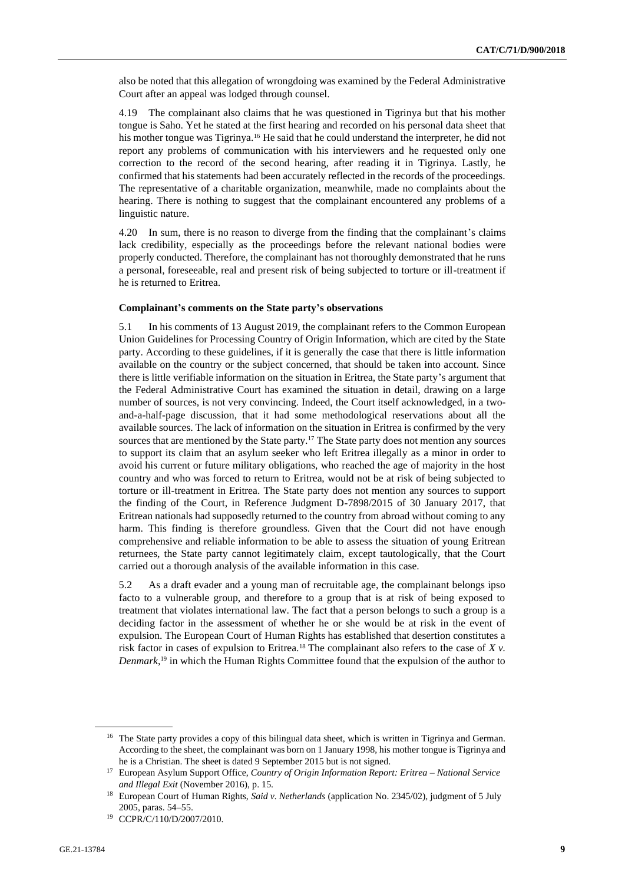also be noted that this allegation of wrongdoing was examined by the Federal Administrative Court after an appeal was lodged through counsel.

4.19 The complainant also claims that he was questioned in Tigrinya but that his mother tongue is Saho. Yet he stated at the first hearing and recorded on his personal data sheet that his mother tongue was Tigrinya.<sup>16</sup> He said that he could understand the interpreter, he did not report any problems of communication with his interviewers and he requested only one correction to the record of the second hearing, after reading it in Tigrinya. Lastly, he confirmed that his statements had been accurately reflected in the records of the proceedings. The representative of a charitable organization, meanwhile, made no complaints about the hearing. There is nothing to suggest that the complainant encountered any problems of a linguistic nature.

4.20 In sum, there is no reason to diverge from the finding that the complainant's claims lack credibility, especially as the proceedings before the relevant national bodies were properly conducted. Therefore, the complainant has not thoroughly demonstrated that he runs a personal, foreseeable, real and present risk of being subjected to torture or ill-treatment if he is returned to Eritrea.

#### **Complainant's comments on the State party's observations**

5.1 In his comments of 13 August 2019, the complainant refers to the Common European Union Guidelines for Processing Country of Origin Information, which are cited by the State party. According to these guidelines, if it is generally the case that there is little information available on the country or the subject concerned, that should be taken into account. Since there is little verifiable information on the situation in Eritrea, the State party's argument that the Federal Administrative Court has examined the situation in detail, drawing on a large number of sources, is not very convincing. Indeed, the Court itself acknowledged, in a twoand-a-half-page discussion, that it had some methodological reservations about all the available sources. The lack of information on the situation in Eritrea is confirmed by the very sources that are mentioned by the State party.<sup>17</sup> The State party does not mention any sources to support its claim that an asylum seeker who left Eritrea illegally as a minor in order to avoid his current or future military obligations, who reached the age of majority in the host country and who was forced to return to Eritrea, would not be at risk of being subjected to torture or ill-treatment in Eritrea. The State party does not mention any sources to support the finding of the Court, in Reference Judgment D-7898/2015 of 30 January 2017, that Eritrean nationals had supposedly returned to the country from abroad without coming to any harm. This finding is therefore groundless. Given that the Court did not have enough comprehensive and reliable information to be able to assess the situation of young Eritrean returnees, the State party cannot legitimately claim, except tautologically, that the Court carried out a thorough analysis of the available information in this case.

5.2 As a draft evader and a young man of recruitable age, the complainant belongs ipso facto to a vulnerable group, and therefore to a group that is at risk of being exposed to treatment that violates international law. The fact that a person belongs to such a group is a deciding factor in the assessment of whether he or she would be at risk in the event of expulsion. The European Court of Human Rights has established that desertion constitutes a risk factor in cases of expulsion to Eritrea.<sup>18</sup> The complainant also refers to the case of *X v*. *Denmark*, <sup>19</sup> in which the Human Rights Committee found that the expulsion of the author to

<sup>&</sup>lt;sup>16</sup> The State party provides a copy of this bilingual data sheet, which is written in Tigrinya and German. According to the sheet, the complainant was born on 1 January 1998, his mother tongue is Tigrinya and he is a Christian. The sheet is dated 9 September 2015 but is not signed.

<sup>17</sup> European Asylum Support Office, *Country of Origin Information Report: Eritrea – National Service and Illegal Exit* (November 2016), p. 15.

<sup>18</sup> European Court of Human Rights, *Said v. Netherlands* (application No. 2345/02), judgment of 5 July 2005, paras. 54–55.

<sup>19</sup> CCPR/C/110/D/2007/2010.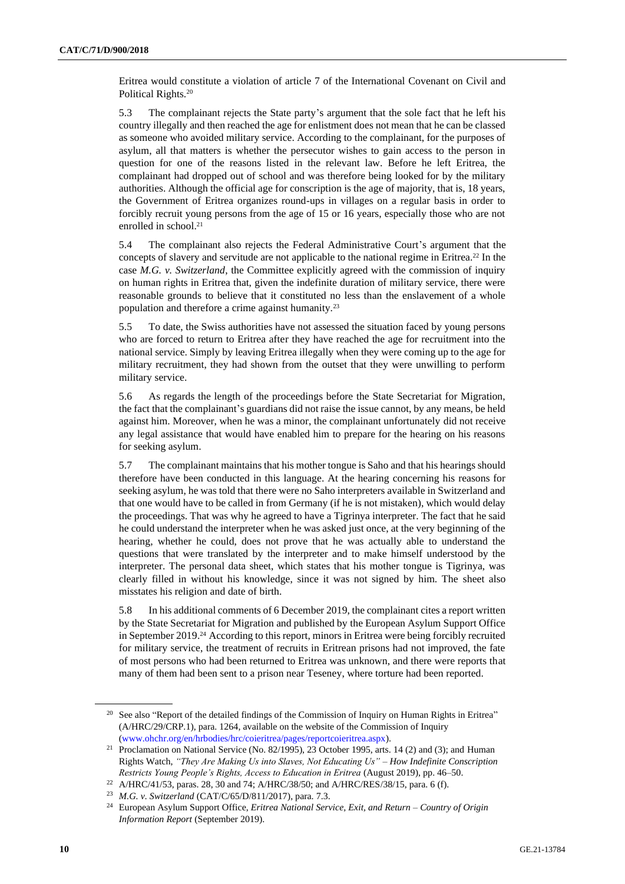Eritrea would constitute a violation of article 7 of the International Covenant on Civil and Political Rights.<sup>20</sup>

5.3 The complainant rejects the State party's argument that the sole fact that he left his country illegally and then reached the age for enlistment does not mean that he can be classed as someone who avoided military service. According to the complainant, for the purposes of asylum, all that matters is whether the persecutor wishes to gain access to the person in question for one of the reasons listed in the relevant law. Before he left Eritrea, the complainant had dropped out of school and was therefore being looked for by the military authorities. Although the official age for conscription is the age of majority, that is, 18 years, the Government of Eritrea organizes round-ups in villages on a regular basis in order to forcibly recruit young persons from the age of 15 or 16 years, especially those who are not enrolled in school.<sup>21</sup>

5.4 The complainant also rejects the Federal Administrative Court's argument that the concepts of slavery and servitude are not applicable to the national regime in Eritrea.<sup>22</sup> In the case *M.G. v. Switzerland*, the Committee explicitly agreed with the commission of inquiry on human rights in Eritrea that, given the indefinite duration of military service, there were reasonable grounds to believe that it constituted no less than the enslavement of a whole population and therefore a crime against humanity.<sup>23</sup>

5.5 To date, the Swiss authorities have not assessed the situation faced by young persons who are forced to return to Eritrea after they have reached the age for recruitment into the national service. Simply by leaving Eritrea illegally when they were coming up to the age for military recruitment, they had shown from the outset that they were unwilling to perform military service.

5.6 As regards the length of the proceedings before the State Secretariat for Migration, the fact that the complainant's guardians did not raise the issue cannot, by any means, be held against him. Moreover, when he was a minor, the complainant unfortunately did not receive any legal assistance that would have enabled him to prepare for the hearing on his reasons for seeking asylum.

5.7 The complainant maintains that his mother tongue is Saho and that his hearings should therefore have been conducted in this language. At the hearing concerning his reasons for seeking asylum, he was told that there were no Saho interpreters available in Switzerland and that one would have to be called in from Germany (if he is not mistaken), which would delay the proceedings. That was why he agreed to have a Tigrinya interpreter. The fact that he said he could understand the interpreter when he was asked just once, at the very beginning of the hearing, whether he could, does not prove that he was actually able to understand the questions that were translated by the interpreter and to make himself understood by the interpreter. The personal data sheet, which states that his mother tongue is Tigrinya, was clearly filled in without his knowledge, since it was not signed by him. The sheet also misstates his religion and date of birth.

5.8 In his additional comments of 6 December 2019, the complainant cites a report written by the State Secretariat for Migration and published by the European Asylum Support Office in September 2019. <sup>24</sup> According to this report, minors in Eritrea were being forcibly recruited for military service, the treatment of recruits in Eritrean prisons had not improved, the fate of most persons who had been returned to Eritrea was unknown, and there were reports that many of them had been sent to a prison near Teseney, where torture had been reported.

<sup>&</sup>lt;sup>20</sup> See also "Report of the detailed findings of the Commission of Inquiry on Human Rights in Eritrea" (A/HRC/29/CRP.1), para. 1264, available on the website of the Commission of Inquiry [\(www.ohchr.org/en/hrbodies/hrc/coieritrea/pages/reportcoieritrea.aspx\)](http://www.ohchr.org/en/hrbodies/hrc/coieritrea/pages/reportcoieritrea.aspx).

<sup>21</sup> Proclamation on National Service (No. 82/1995), 23 October 1995, arts. 14 (2) and (3); and Human Rights Watch, *"They Are Making Us into Slaves, Not Educating Us" – How Indefinite Conscription Restricts Young People's Rights, Access to Education in Eritrea* (August 2019), pp. 46–50.

<sup>22</sup> A/HRC/41/53, paras. 28, 30 and 74; A/HRC/38/50; and A/HRC/RES/38/15, para. 6 (f).

<sup>23</sup> *M.G. v. Switzerland* (CAT/C/65/D/811/2017), para. 7.3.

<sup>24</sup> European Asylum Support Office, *Eritrea National Service, Exit, and Return – Country of Origin Information Report* (September 2019).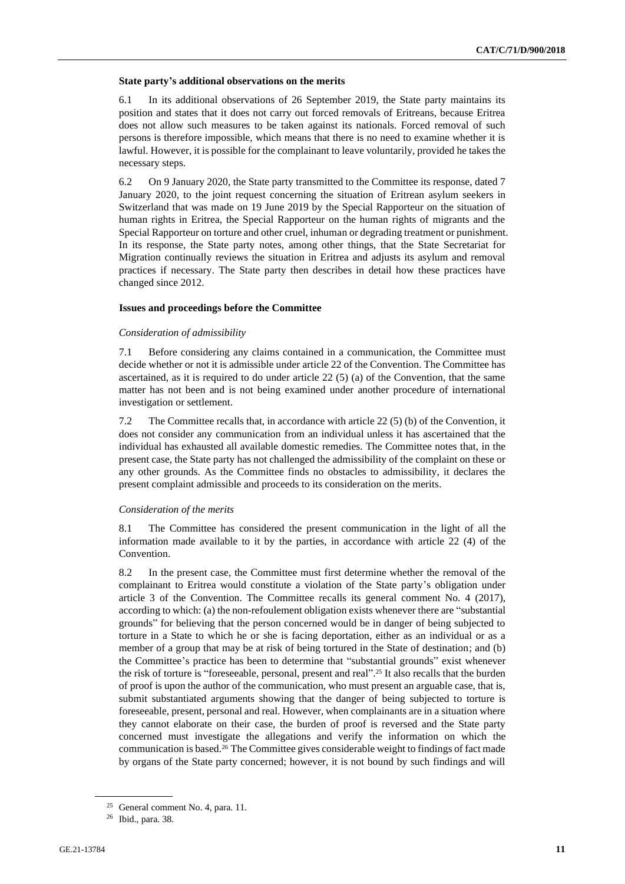#### **State party's additional observations on the merits**

6.1 In its additional observations of 26 September 2019, the State party maintains its position and states that it does not carry out forced removals of Eritreans, because Eritrea does not allow such measures to be taken against its nationals. Forced removal of such persons is therefore impossible, which means that there is no need to examine whether it is lawful. However, it is possible for the complainant to leave voluntarily, provided he takes the necessary steps.

6.2 On 9 January 2020, the State party transmitted to the Committee its response, dated 7 January 2020, to the joint request concerning the situation of Eritrean asylum seekers in Switzerland that was made on 19 June 2019 by the Special Rapporteur on the situation of human rights in Eritrea, the Special Rapporteur on the human rights of migrants and the Special Rapporteur on torture and other cruel, inhuman or degrading treatment or punishment. In its response, the State party notes, among other things, that the State Secretariat for Migration continually reviews the situation in Eritrea and adjusts its asylum and removal practices if necessary. The State party then describes in detail how these practices have changed since 2012.

### **Issues and proceedings before the Committee**

#### *Consideration of admissibility*

7.1 Before considering any claims contained in a communication, the Committee must decide whether or not it is admissible under article 22 of the Convention. The Committee has ascertained, as it is required to do under article  $22(5)$  (a) of the Convention, that the same matter has not been and is not being examined under another procedure of international investigation or settlement.

7.2 The Committee recalls that, in accordance with article 22 (5) (b) of the Convention, it does not consider any communication from an individual unless it has ascertained that the individual has exhausted all available domestic remedies. The Committee notes that, in the present case, the State party has not challenged the admissibility of the complaint on these or any other grounds. As the Committee finds no obstacles to admissibility, it declares the present complaint admissible and proceeds to its consideration on the merits.

#### *Consideration of the merits*

8.1 The Committee has considered the present communication in the light of all the information made available to it by the parties, in accordance with article 22 (4) of the Convention.

8.2 In the present case, the Committee must first determine whether the removal of the complainant to Eritrea would constitute a violation of the State party's obligation under article 3 of the Convention. The Committee recalls its general comment No. 4 (2017), according to which: (a) the non-refoulement obligation exists whenever there are "substantial grounds" for believing that the person concerned would be in danger of being subjected to torture in a State to which he or she is facing deportation, either as an individual or as a member of a group that may be at risk of being tortured in the State of destination; and (b) the Committee's practice has been to determine that "substantial grounds" exist whenever the risk of torture is "foreseeable, personal, present and real". <sup>25</sup> It also recalls that the burden of proof is upon the author of the communication, who must present an arguable case, that is, submit substantiated arguments showing that the danger of being subjected to torture is foreseeable, present, personal and real. However, when complainants are in a situation where they cannot elaborate on their case, the burden of proof is reversed and the State party concerned must investigate the allegations and verify the information on which the communication is based.<sup>26</sup> The Committee gives considerable weight to findings of fact made by organs of the State party concerned; however, it is not bound by such findings and will

<sup>25</sup> General comment No. 4, para. 11.

<sup>26</sup> Ibid., para. 38.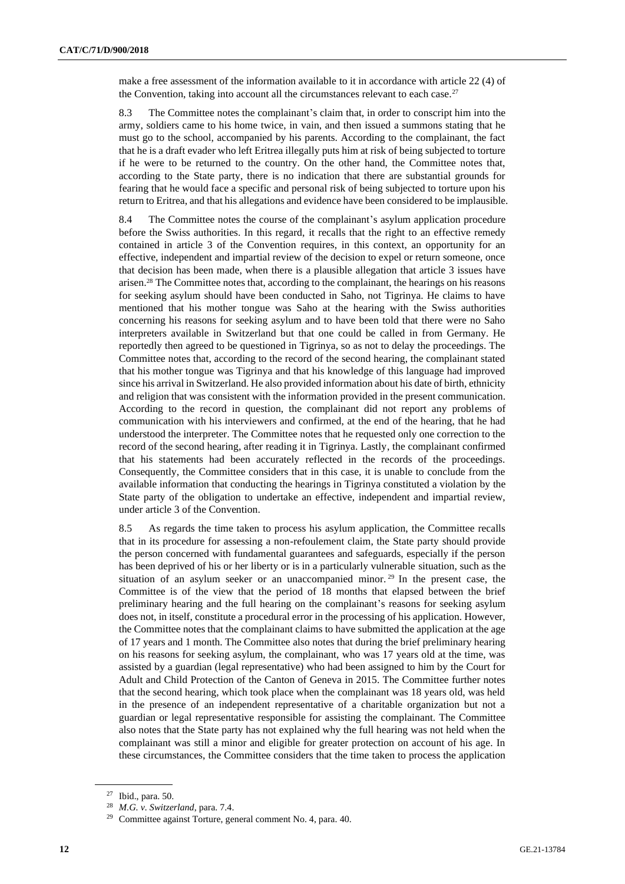make a free assessment of the information available to it in accordance with article 22 (4) of the Convention, taking into account all the circumstances relevant to each case.<sup>27</sup>

8.3 The Committee notes the complainant's claim that, in order to conscript him into the army, soldiers came to his home twice, in vain, and then issued a summons stating that he must go to the school, accompanied by his parents. According to the complainant, the fact that he is a draft evader who left Eritrea illegally puts him at risk of being subjected to torture if he were to be returned to the country. On the other hand, the Committee notes that, according to the State party, there is no indication that there are substantial grounds for fearing that he would face a specific and personal risk of being subjected to torture upon his return to Eritrea, and that his allegations and evidence have been considered to be implausible.

8.4 The Committee notes the course of the complainant's asylum application procedure before the Swiss authorities. In this regard, it recalls that the right to an effective remedy contained in article 3 of the Convention requires, in this context, an opportunity for an effective, independent and impartial review of the decision to expel or return someone, once that decision has been made, when there is a plausible allegation that article 3 issues have arisen.<sup>28</sup> The Committee notes that, according to the complainant, the hearings on his reasons for seeking asylum should have been conducted in Saho, not Tigrinya. He claims to have mentioned that his mother tongue was Saho at the hearing with the Swiss authorities concerning his reasons for seeking asylum and to have been told that there were no Saho interpreters available in Switzerland but that one could be called in from Germany. He reportedly then agreed to be questioned in Tigrinya, so as not to delay the proceedings. The Committee notes that, according to the record of the second hearing, the complainant stated that his mother tongue was Tigrinya and that his knowledge of this language had improved since his arrival in Switzerland. He also provided information about his date of birth, ethnicity and religion that was consistent with the information provided in the present communication. According to the record in question, the complainant did not report any problems of communication with his interviewers and confirmed, at the end of the hearing, that he had understood the interpreter. The Committee notes that he requested only one correction to the record of the second hearing, after reading it in Tigrinya. Lastly, the complainant confirmed that his statements had been accurately reflected in the records of the proceedings. Consequently, the Committee considers that in this case, it is unable to conclude from the available information that conducting the hearings in Tigrinya constituted a violation by the State party of the obligation to undertake an effective, independent and impartial review, under article 3 of the Convention.

8.5 As regards the time taken to process his asylum application, the Committee recalls that in its procedure for assessing a non-refoulement claim, the State party should provide the person concerned with fundamental guarantees and safeguards, especially if the person has been deprived of his or her liberty or is in a particularly vulnerable situation, such as the situation of an asylum seeker or an unaccompanied minor. <sup>29</sup> In the present case, the Committee is of the view that the period of 18 months that elapsed between the brief preliminary hearing and the full hearing on the complainant's reasons for seeking asylum does not, in itself, constitute a procedural error in the processing of his application. However, the Committee notes that the complainant claims to have submitted the application at the age of 17 years and 1 month. The Committee also notes that during the brief preliminary hearing on his reasons for seeking asylum, the complainant, who was 17 years old at the time, was assisted by a guardian (legal representative) who had been assigned to him by the Court for Adult and Child Protection of the Canton of Geneva in 2015. The Committee further notes that the second hearing, which took place when the complainant was 18 years old, was held in the presence of an independent representative of a charitable organization but not a guardian or legal representative responsible for assisting the complainant. The Committee also notes that the State party has not explained why the full hearing was not held when the complainant was still a minor and eligible for greater protection on account of his age. In these circumstances, the Committee considers that the time taken to process the application

<sup>27</sup> Ibid., para. 50.

<sup>28</sup> *M.G. v. Switzerland*, para. 7.4.

<sup>29</sup> Committee against Torture, general comment No. 4, para. 40.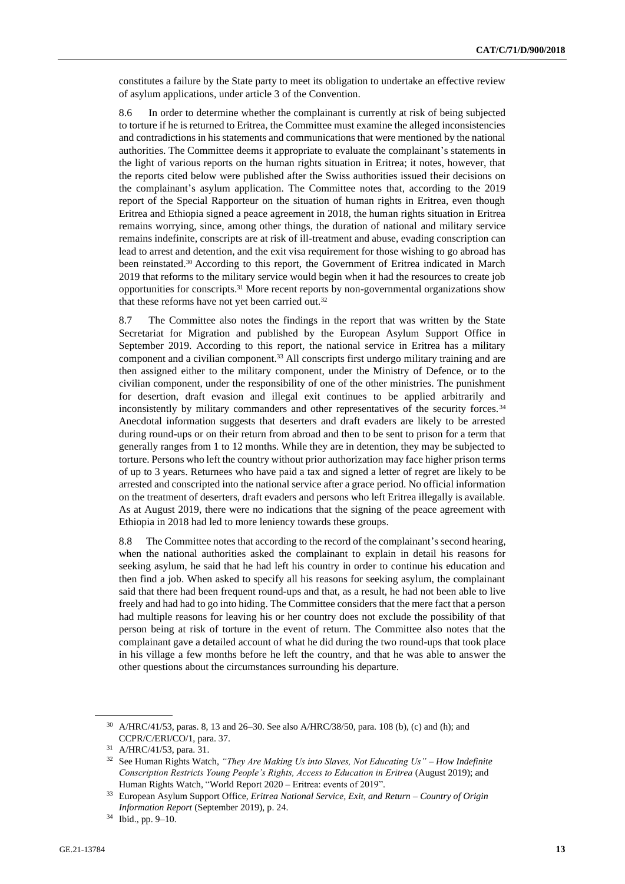constitutes a failure by the State party to meet its obligation to undertake an effective review of asylum applications, under article 3 of the Convention.

8.6 In order to determine whether the complainant is currently at risk of being subjected to torture if he is returned to Eritrea, the Committee must examine the alleged inconsistencies and contradictions in his statements and communications that were mentioned by the national authorities. The Committee deems it appropriate to evaluate the complainant's statements in the light of various reports on the human rights situation in Eritrea; it notes, however, that the reports cited below were published after the Swiss authorities issued their decisions on the complainant's asylum application. The Committee notes that, according to the 2019 report of the Special Rapporteur on the situation of human rights in Eritrea, even though Eritrea and Ethiopia signed a peace agreement in 2018, the human rights situation in Eritrea remains worrying, since, among other things, the duration of national and military service remains indefinite, conscripts are at risk of ill-treatment and abuse, evading conscription can lead to arrest and detention, and the exit visa requirement for those wishing to go abroad has been reinstated.<sup>30</sup> According to this report, the Government of Eritrea indicated in March 2019 that reforms to the military service would begin when it had the resources to create job opportunities for conscripts.<sup>31</sup> More recent reports by non-governmental organizations show that these reforms have not yet been carried out.<sup>32</sup>

8.7 The Committee also notes the findings in the report that was written by the State Secretariat for Migration and published by the European Asylum Support Office in September 2019. According to this report, the national service in Eritrea has a military component and a civilian component.<sup>33</sup> All conscripts first undergo military training and are then assigned either to the military component, under the Ministry of Defence, or to the civilian component, under the responsibility of one of the other ministries. The punishment for desertion, draft evasion and illegal exit continues to be applied arbitrarily and inconsistently by military commanders and other representatives of the security forces. <sup>34</sup> Anecdotal information suggests that deserters and draft evaders are likely to be arrested during round-ups or on their return from abroad and then to be sent to prison for a term that generally ranges from 1 to 12 months. While they are in detention, they may be subjected to torture. Persons who left the country without prior authorization may face higher prison terms of up to 3 years. Returnees who have paid a tax and signed a letter of regret are likely to be arrested and conscripted into the national service after a grace period. No official information on the treatment of deserters, draft evaders and persons who left Eritrea illegally is available. As at August 2019, there were no indications that the signing of the peace agreement with Ethiopia in 2018 had led to more leniency towards these groups.

8.8 The Committee notes that according to the record of the complainant's second hearing, when the national authorities asked the complainant to explain in detail his reasons for seeking asylum, he said that he had left his country in order to continue his education and then find a job. When asked to specify all his reasons for seeking asylum, the complainant said that there had been frequent round-ups and that, as a result, he had not been able to live freely and had had to go into hiding. The Committee considers that the mere fact that a person had multiple reasons for leaving his or her country does not exclude the possibility of that person being at risk of torture in the event of return. The Committee also notes that the complainant gave a detailed account of what he did during the two round-ups that took place in his village a few months before he left the country, and that he was able to answer the other questions about the circumstances surrounding his departure.

<sup>30</sup> A/HRC/41/53, paras. 8, 13 and 26–30. See also A/HRC/38/50, para. 108 (b), (c) and (h); and CCPR/C/ERI/CO/1, para. 37.

<sup>31</sup> A/HRC/41/53, para. 31.

<sup>32</sup> See Human Rights Watch, *"They Are Making Us into Slaves, Not Educating Us" – How Indefinite Conscription Restricts Young People's Rights, Access to Education in Eritrea* (August 2019); and Human Rights Watch, "World Report 2020 – Eritrea: events of 2019".

<sup>33</sup> European Asylum Support Office, *Eritrea National Service, Exit, and Return – Country of Origin Information Report* (September 2019), p. 24.

<sup>34</sup> Ibid., pp. 9–10.